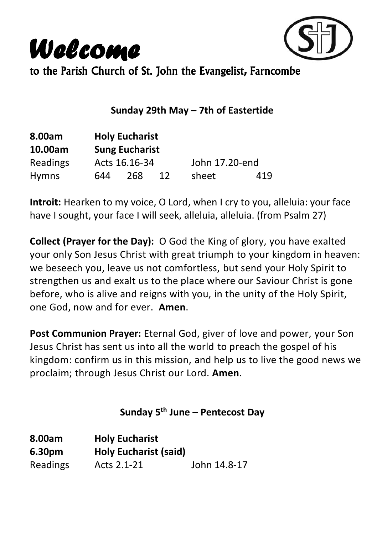



to the Parish Church of St. John the Evangelist, Farncombe

### **Sunday 29th May – 7th of Eastertide**

| 8.00am       |     | <b>Holy Eucharist</b> |    |                |     |  |
|--------------|-----|-----------------------|----|----------------|-----|--|
| 10.00am      |     | <b>Sung Eucharist</b> |    |                |     |  |
| Readings     |     | Acts 16.16-34         |    | John 17.20-end |     |  |
| <b>Hymns</b> | 644 | 268                   | 12 | sheet          | 419 |  |

**Introit:** Hearken to my voice, O Lord, when I cry to you, alleluia: your face have I sought, your face I will seek, alleluia, alleluia. (from Psalm 27)

**Collect (Prayer for the Day):** O God the King of glory, you have exalted your only Son Jesus Christ with great triumph to your kingdom in heaven: we beseech you, leave us not comfortless, but send your Holy Spirit to strengthen us and exalt us to the place where our Saviour Christ is gone before, who is alive and reigns with you, in the unity of the Holy Spirit, one God, now and for ever. **Amen**.

**Post Communion Prayer:** Eternal God, giver of love and power, your Son Jesus Christ has sent us into all the world to preach the gospel of his kingdom: confirm us in this mission, and help us to live the good news we proclaim; through Jesus Christ our Lord. **Amen**.

**Sunday 5 th June – Pentecost Day**

| 8.00am   | <b>Holy Eucharist</b>        |              |
|----------|------------------------------|--------------|
| 6.30pm   | <b>Holy Eucharist (said)</b> |              |
| Readings | Acts 2.1-21                  | John 14.8-17 |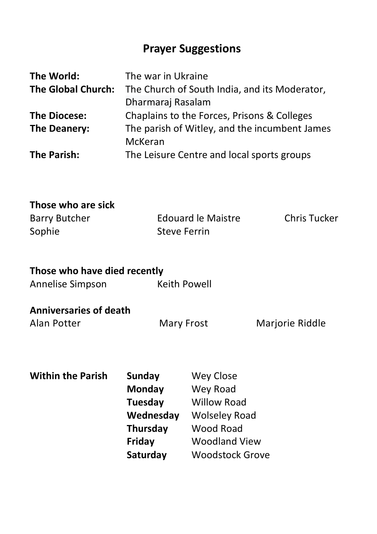# **Prayer Suggestions**

| The World:                | The war in Ukraine                            |
|---------------------------|-----------------------------------------------|
| <b>The Global Church:</b> | The Church of South India, and its Moderator, |
|                           | Dharmaraj Rasalam                             |
| <b>The Diocese:</b>       | Chaplains to the Forces, Prisons & Colleges   |
| The Deanery:              | The parish of Witley, and the incumbent James |
|                           | McKeran                                       |
| The Parish:               | The Leisure Centre and local sports groups    |

### **Those who are sick**

| Barry Butcher | Edouard le Maistre | Chris Tucker |
|---------------|--------------------|--------------|
| Sophie        | Steve Ferrin       |              |

## **Those who have died recently**

| Annelise Simpson | Keith Powell |
|------------------|--------------|
|------------------|--------------|

### **Anniversaries of death**

Alan Potter **Mary Frost** Marjorie Riddle

## **Within the Parish Sunday Wey Close**

| <b>AACA</b> CIOSC      |
|------------------------|
| Wey Road               |
| <b>Willow Road</b>     |
| <b>Wolseley Road</b>   |
| <b>Wood Road</b>       |
| <b>Woodland View</b>   |
| <b>Woodstock Grove</b> |
|                        |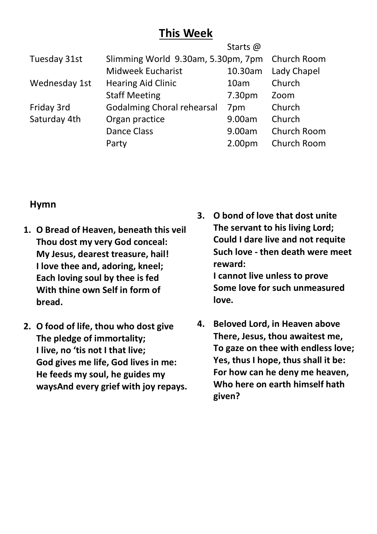## **This Week**

|                            | Starts @           |                                    |
|----------------------------|--------------------|------------------------------------|
|                            |                    | Church Room                        |
| Midweek Eucharist          | 10.30am            | Lady Chapel                        |
| <b>Hearing Aid Clinic</b>  | 10am               | Church                             |
| <b>Staff Meeting</b>       | 7.30pm             | Zoom                               |
| Godalming Choral rehearsal | 7 <sub>pm</sub>    | Church                             |
| Organ practice             | 9.00am             | Church                             |
| <b>Dance Class</b>         | 9.00am             | Church Room                        |
| Party                      | 2.00 <sub>pm</sub> | Church Room                        |
|                            |                    | Slimming World 9.30am, 5.30pm, 7pm |

### **Hymn**

- **1. O Bread of Heaven, beneath this veil Thou dost my very God conceal: My Jesus, dearest treasure, hail! I love thee and, adoring, kneel; Each loving soul by thee is fed With thine own Self in form of bread.**
- **2. O food of life, thou who dost give The pledge of immortality; I live, no 'tis not I that live; God gives me life, God lives in me: He feeds my soul, he guides my waysAnd every grief with joy repays.**
- **3. O bond of love that dost unite The servant to his living Lord; Could I dare live and not requite Such love - then death were meet reward: I cannot live unless to prove Some love for such unmeasured love.**
- **4. Beloved Lord, in Heaven above There, Jesus, thou awaitest me, To gaze on thee with endless love; Yes, thus I hope, thus shall it be: For how can he deny me heaven, Who here on earth himself hath given?**